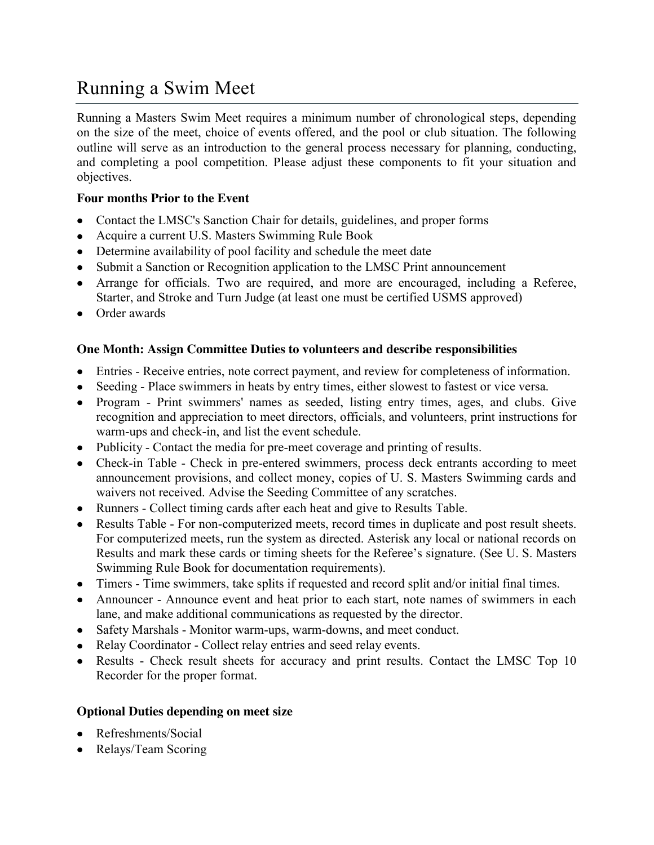# Running a Swim Meet

Running a Masters Swim Meet requires a minimum number of chronological steps, depending on the size of the meet, choice of events offered, and the pool or club situation. The following outline will serve as an introduction to the general process necessary for planning, conducting, and completing a pool competition. Please adjust these components to fit your situation and objectives.

### **Four months Prior to the Event**

- Contact the LMSC's Sanction Chair for details, guidelines, and proper forms
- Acquire a current U.S. Masters Swimming Rule Book
- Determine availability of pool facility and schedule the meet date
- Submit a Sanction or Recognition application to the LMSC Print announcement
- Arrange for officials. Two are required, and more are encouraged, including a Referee, Starter, and Stroke and Turn Judge (at least one must be certified USMS approved)
- Order awards

#### **One Month: Assign Committee Duties to volunteers and describe responsibilities**

- Entries Receive entries, note correct payment, and review for completeness of information.
- Seeding Place swimmers in heats by entry times, either slowest to fastest or vice versa.
- Program Print swimmers' names as seeded, listing entry times, ages, and clubs. Give recognition and appreciation to meet directors, officials, and volunteers, print instructions for warm-ups and check-in, and list the event schedule.
- Publicity Contact the media for pre-meet coverage and printing of results.
- Check-in Table Check in pre-entered swimmers, process deck entrants according to meet announcement provisions, and collect money, copies of U. S. Masters Swimming cards and waivers not received. Advise the Seeding Committee of any scratches.
- Runners Collect timing cards after each heat and give to Results Table.
- Results Table For non-computerized meets, record times in duplicate and post result sheets. For computerized meets, run the system as directed. Asterisk any local or national records on Results and mark these cards or timing sheets for the Referee's signature. (See U. S. Masters Swimming Rule Book for documentation requirements).
- Timers Time swimmers, take splits if requested and record split and/or initial final times.
- Announcer Announce event and heat prior to each start, note names of swimmers in each lane, and make additional communications as requested by the director.
- Safety Marshals Monitor warm-ups, warm-downs, and meet conduct.
- Relay Coordinator Collect relay entries and seed relay events.
- Results Check result sheets for accuracy and print results. Contact the LMSC Top 10 Recorder for the proper format.

#### **Optional Duties depending on meet size**

- Refreshments/Social
- Relays/Team Scoring